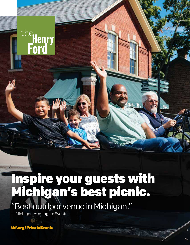

"Best outdoor venue in Michigan."

— Michigan Meetings + Events

the Henry<br>**Ford** 

thf.org/PrivateEvents